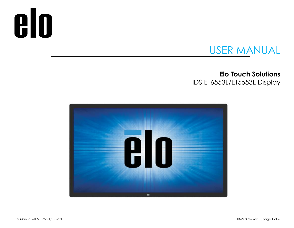# **elo**

# USER MANUAL

## **Elo Touch Solutions** IDS ET6553L/ET5553L Display

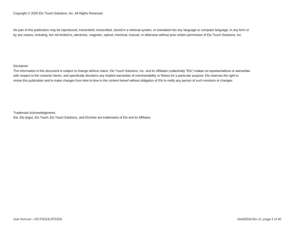No part of this publication may be reproduced, transmitted, transcribed, stored in a retrieval system, or translated into any language or computer language, in any form or by any means, including, but not limited to, electronic, magnetic, optical, chemical, manual, or otherwise without prior written permission of Elo Touch Solutions, Inc.

#### Disclaimer

The information in this document is subject to change without notice. Elo Touch Solutions, Inc. and its Affiliates (collectively "Elo") makes no representations or warranties with respect to the contents herein, and specifically disclaims any implied warranties of merchantability or fitness for a particular purpose. Elo reserves the right to revise this publication and to make changes from time to time in the content hereof without obligation of Elo to notify any person of such revisions or changes.

Trademark Acknowledgments

Elo, Elo (logo), Elo Touch, Elo Touch Solutions, and EloView are trademarks of Elo and its Affiliates.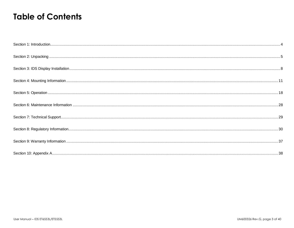# **Table of Contents**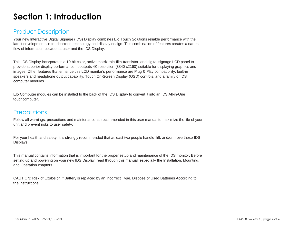# <span id="page-3-0"></span>**Section 1: Introduction**

## Product Description

Your new Interactive Digital Signage (IDS) Display combines Elo Touch Solutions reliable performance with the latest developments in touchscreen technology and display design. This combination of features creates a natural flow of information between a user and the IDS Display.

This IDS Display incorporates a 10-bit color, active matrix thin-film-transistor, and digital signage LCD panel to provide superior display performance. It outputs 4K resolution (3840 x2160) suitable for displaying graphics and images. Other features that enhance this LCD monitor's performance are Plug & Play compatibility, built-in speakers and headphone output capability, Touch On-Screen Display (OSD) controls, and a family of IDS computer modules.

Elo Computer modules can be installed to the back of the IDS Display to convert it into an IDS All-in-One touchcomputer.

## **Precautions**

Follow all warnings, precautions and maintenance as recommended in this user manual to maximize the life of your unit and prevent risks to user safety.

For your health and safety, it is strongly recommended that at least two people handle, lift, and/or move these IDS Displays.

This manual contains information that is important for the proper setup and maintenance of the IDS monitor. Before setting up and powering on your new IDS Display, read through this manual, especially the Installation, Mounting, and Operation chapters.

CAUTION: Risk of Explosion if Battery is replaced by an Incorrect Type. Dispose of Used Batteries According to the Instructions.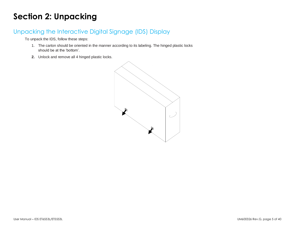# <span id="page-4-0"></span>**Section 2: Unpacking**

## Unpacking the Interactive Digital Signage (IDS) Display

To unpack the IDS, follow these steps:

- 1. The carton should be oriented in the manner according to its labeling. The hinged plastic locks should be at the 'bottom'.
- **2.** Unlock and remove all 4 hinged plastic locks.

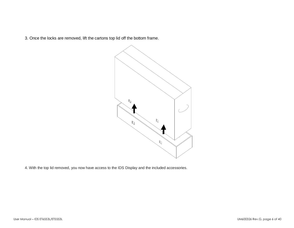3. Once the locks are removed, lift the cartons top lid off the bottom frame.



4. With the top lid removed, you now have access to the IDS Display and the included accessories.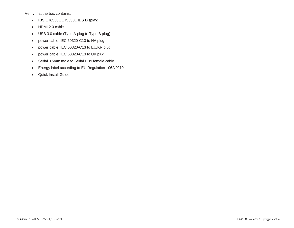Verify that the box contains:

- IDS ET6553L/ET5553L IDS Display:
- HDMI 2.0 cable
- USB 3.0 cable (Type A plug to Type B plug)
- power cable, IEC 60320-C13 to NA plug
- power cable, IEC 60320-C13 to EU/KR plug
- power cable, IEC 60320-C13 to UK plug
- Serial 3.5mm male to Serial DB9 female cable
- Energy label according to EU Regulation 1062/2010
- Quick Install Guide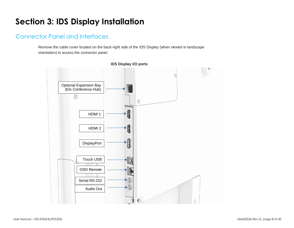# <span id="page-7-0"></span>**Section 3: IDS Display Installation**

## Connector Panel and Interfaces

Remove the cable cover located on the back-right side of the IDS Display (when viewed in landscape orientation) to access the connector panel.



**IDS Display I/O ports**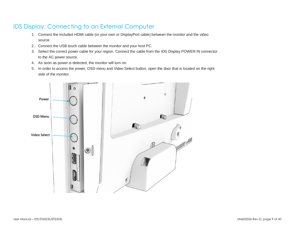## IDS Display: Connecting to an External Computer

- 1. Connect the included HDMI cable (or your own or DisplayPort cable) between the monitor and the video source.
- 2. Connect the USB touch cable between the monitor and your host PC.
- 3. Select the correct power cable for your region. Connect the cable from the IDS Display POWER IN connector to the AC power source.
- 4. As soon as power is detected, the monitor will turn on.
- 5. In order to access the power, OSD menu and Video Select button, open the door that is located on the right side of the monitor.

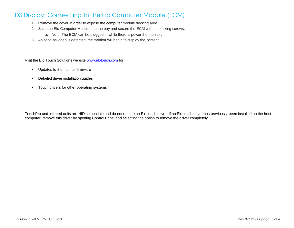## IDS Display: Connecting to the Elo Computer Module (ECM)

- 1. Remove the cover in order to expose the computer module docking area.
- 2. Slide the Elo Computer Module into the bay and secure the ECM with the locking screws.
	- a. Note: The ECM can be plugged in while there is power the monitor.
- 3. As soon as video is detected, the monitor will begin to display the content.

Visit the Elo Touch Solutions website [www.elotouch.com](http://www.elotouch.com/) for:

- Updates to the monitor firmware
- Detailed driver installation guides
- Touch drivers for other operating systems

TouchPro and Infrared units are HID compatible and do not require an Elo touch driver. If an Elo touch driver has previously been installed on the host computer, remove this driver by opening Control Panel and selecting the option to remove the driver completely.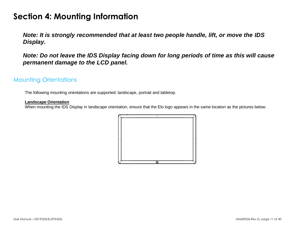# <span id="page-10-0"></span>**Section 4: Mounting Information**

*Note: It is strongly recommended that at least two people handle, lift, or move the IDS Display.*

## *Note: Do not leave the IDS Display facing down for long periods of time as this will cause permanent damage to the LCD panel.*

## Mounting Orientations

The following mounting orientations are supported: landscape, portrait and tabletop.

#### **Landscape Orientation**

When mounting the IDS Display in landscape orientation, ensure that the Elo logo appears in the same location as the pictures below.

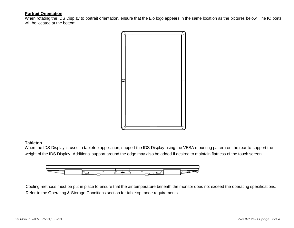#### **Portrait Orientation**

When rotating the IDS Display to portrait orientation, ensure that the Elo logo appears in the same location as the pictures below. The IO ports will be located at the bottom.



#### **Tabletop**

When the IDS Display is used in tabletop application, support the IDS Display using the VESA mounting pattern on the rear to support the weight of the IDS Display. Additional support around the edge may also be added if desired to maintain flatness of the touch screen.



Cooling methods must be put in place to ensure that the air temperature beneath the monitor does not exceed the operating specifications. Refer to the Operating & Storage Conditions section for tabletop mode requirements.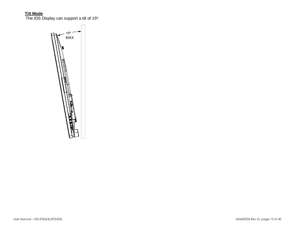#### **Tilt Mode**

The IDS Display can support a tilt of 15º.

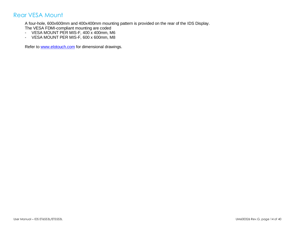## Rear VESA Mount

A four-hole, 600x600mm and 400x400mm mounting pattern is provided on the rear of the IDS Display.

The VESA FDMI-compliant mounting are coded

- VESA MOUNT PER MIS-F, 400 x 400mm, M6
- VESA MOUNT PER MIS-F, 600 x 600mm, M8

Refer to [www.elotouch.com](http://www.elotouch.com/) for dimensional drawings.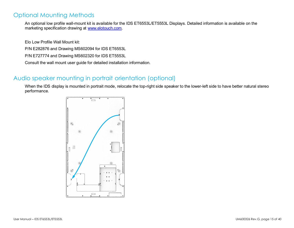## Optional Mounting Methods

An optional low profile wall-mount kit is available for the IDS ET6553L/ET5553L Displays. Detailed information is available on the marketing specification drawing at [www.elotouch.com.](http://www.elotouch.com/)

Elo Low Profile Wall Mount kit:

P/N E282876 and Drawing MS602094 for IDS ET6553L

P/N E727774 and Drawing MS602320 for IDS ET5553L

Consult the wall mount user guide for detailed installation information.

## Audio speaker mounting in portrait orientation (optional)

When the IDS display is mounted in portrait mode, relocate the top-right side speaker to the lower-left side to have better natural stereo performance.

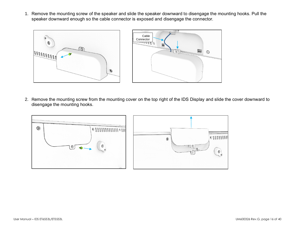1. Remove the mounting screw of the speaker and slide the speaker downward to disengage the mounting hooks. Pull the speaker downward enough so the cable connector is exposed and disengage the connector.



2. Remove the mounting screw from the mounting cover on the top right of the IDS Display and slide the cover downward to disengage the mounting hooks.

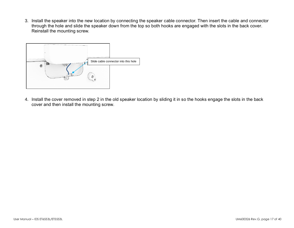3. Install the speaker into the new location by connecting the speaker cable connector. Then insert the cable and connector through the hole and slide the speaker down from the top so both hooks are engaged with the slots in the back cover. Reinstall the mounting screw.



4. Install the cover removed in step 2 in the old speaker location by sliding it in so the hooks engage the slots in the back cover and then install the mounting screw.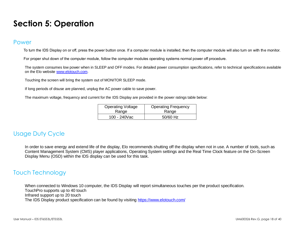# <span id="page-17-0"></span>**Section 5: Operation**

### Power

To turn the IDS Display on or off, press the power button once. If a computer module is installed, then the computer module will also turn on with the monitor.

For proper shut down of the computer module, follow the computer modules operating systems normal power off procedure.

The system consumes low power when in SLEEP and OFF modes. For detailed power consumption specifications, refer to technical specifications available on the Elo website [www.elotouch.com.](http://www.elotouch.com/)

Touching the screen will bring the system out of MONITOR SLEEP mode.

If long periods of disuse are planned, unplug the AC power cable to save power.

The maximum voltage, frequency and current for the IDS Display are provided in the power ratings table below:

| <b>Operating Voltage</b> | <b>Operating Frequency</b> |
|--------------------------|----------------------------|
| Range                    | Range                      |
| 100 - 240Vac             | 50/60 Hz                   |

## Usage Duty Cycle

In order to save energy and extend life of the display, Elo recommends shutting off the display when not in use. A number of tools, such as Content Management System (CMS) player applications, Operating System settings and the Real Time Clock feature on the On-Screen Display Menu (OSD) within the IDS display can be used for this task.

## Touch Technology

When connected to Windows 10 computer, the IDS Display will report simultaneous touches per the product specification. TouchPro supports up to 40 touch Infrared support up to 20 touch The IDS Display product specification can be found by visiting<https://www.elotouch.com/>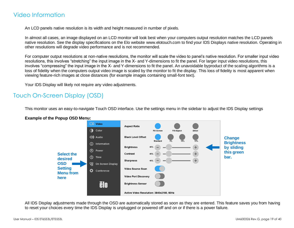## Video Information

An LCD panels native resolution is its width and height measured in number of pixels.

In almost all cases, an image displayed on an LCD monitor will look best when your computers output resolution matches the LCD panels native resolution. See the display specifications on the Elo website [www.elotouch.com](http://www.elotouch.com/) to find your IDS Displays native resolution. Operating in other resolutions will degrade video performance and is not recommended.

For computer output resolutions at non-native resolutions, the monitor will scale the video to panel's native resolution. For smaller input video resolutions, this involves "stretching" the input image in the X- and Y-dimensions to fit the panel. For larger input video resolutions, this involves "compressing" the input image in the X- and Y-dimensions to fit the panel. An unavoidable byproduct of the scaling algorithms is a loss of fidelity when the computers output video image is scaled by the monitor to fit the display. This loss of fidelity is most apparent when viewing feature-rich images at close distances (for example images containing small-font text).

Your IDS Display will likely not require any video adjustments.

## Touch On-Screen Display (OSD)

This monitor uses an easy-to-navigate Touch OSD interface. Use the settings menu in the sidebar to adjust the IDS Display settings



**Example of the Popup OSD Menu:**

All IDS Display adjustments made through the OSD are automatically stored as soon as they are entered. This feature saves you from having to reset your choices every time the IDS Display is unplugged or powered off and on or if there is a power failure.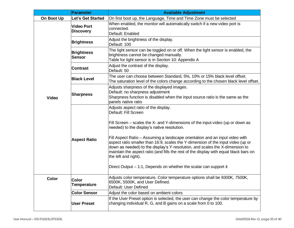|              | Parameter                             | <b>Available Adjustment</b>                                                                                                                                                                                                                                                                                                                                                                                                                                                                                                                                                                                                             |  |  |  |  |
|--------------|---------------------------------------|-----------------------------------------------------------------------------------------------------------------------------------------------------------------------------------------------------------------------------------------------------------------------------------------------------------------------------------------------------------------------------------------------------------------------------------------------------------------------------------------------------------------------------------------------------------------------------------------------------------------------------------------|--|--|--|--|
| On Boot Up   | Let's Get Started                     | On first boot up, the Language, Time and Time Zone must be selected                                                                                                                                                                                                                                                                                                                                                                                                                                                                                                                                                                     |  |  |  |  |
|              | <b>Video Port</b><br><b>Discovery</b> | When enabled, the monitor will automatically switch if a new video port is<br>connected.<br>Default: Enabled                                                                                                                                                                                                                                                                                                                                                                                                                                                                                                                            |  |  |  |  |
|              | <b>Brightness</b>                     | Adjust the brightness of the display.<br>Default: 100                                                                                                                                                                                                                                                                                                                                                                                                                                                                                                                                                                                   |  |  |  |  |
|              | <b>Brightness</b><br>Sensor           | The light sensor can be toggled on or off. When the light sensor is enabled, the<br>brightness cannot be changed manually.<br>Table for light sensor is in Section 10: Appendix A                                                                                                                                                                                                                                                                                                                                                                                                                                                       |  |  |  |  |
|              | <b>Contrast</b>                       | Adjust the contrast of the display.<br>Default: 50                                                                                                                                                                                                                                                                                                                                                                                                                                                                                                                                                                                      |  |  |  |  |
|              | <b>Black Level</b>                    | The user can choose between Standard, 5%, 10% or 15% black level offset.<br>The saturation level of the colors change according to the chosen black level offset.                                                                                                                                                                                                                                                                                                                                                                                                                                                                       |  |  |  |  |
| <b>Video</b> | <b>Sharpness</b>                      | Adjusts sharpness of the displayed images.<br>Default: no sharpness adjustment<br>Sharpness function is disabled when the input source ratio is the same as the<br>panels native ratio                                                                                                                                                                                                                                                                                                                                                                                                                                                  |  |  |  |  |
|              | <b>Aspect Ratio</b>                   | Adjusts aspect ratio of the display.<br>Default: Fill Screen<br>Fill Screen – scales the X- and Y-dimensions of the input video (up or down as<br>needed) to the display's native resolution.<br>Fill Aspect Ratio - Assuming a landscape orientation and an input video with<br>aspect ratio smaller than 16:9, scales the Y-dimension of the input video (up or<br>down as needed) to the display's Y-resolution, and scales the X-dimension to<br>maintain the aspect ratio (and fills the rest of the display with equal black bars on<br>the left and right).<br>Direct Output – 1:1, Depends on whether the scalar can support it |  |  |  |  |
| <b>Color</b> | <b>Color</b><br><b>Temperature</b>    | Adjusts color temperature. Color temperature options shall be 9300K, 7500K,<br>6500K, 5500K, and User Defined.<br>Default: User Defined                                                                                                                                                                                                                                                                                                                                                                                                                                                                                                 |  |  |  |  |
|              | <b>Color Sensor</b>                   | Adjust the color based on ambient colors                                                                                                                                                                                                                                                                                                                                                                                                                                                                                                                                                                                                |  |  |  |  |
|              | <b>User Preset</b>                    | If the User Preset option is selected, the user can change the color temperature by<br>changing individual R, G, and B gains on a scale from 0 to 100.                                                                                                                                                                                                                                                                                                                                                                                                                                                                                  |  |  |  |  |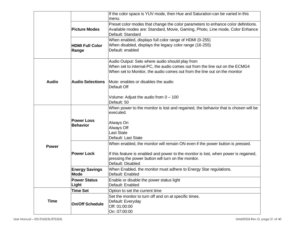|              |                                      | If the color space is YUV mode, then Hue and Saturation can be varied in this<br>menu.                                                                                                                      |  |  |  |
|--------------|--------------------------------------|-------------------------------------------------------------------------------------------------------------------------------------------------------------------------------------------------------------|--|--|--|
|              | <b>Picture Modes</b>                 | Preset color modes that change the color parameters to enhance color definitions.<br>Available modes are: Standard, Movie, Gaming, Photo, Line mode, Color Enhance<br>Default: Standard                     |  |  |  |
|              | <b>HDMI Full Color</b><br>Range      | When enabled, displays full color range of HDMI (0-255)<br>When disabled, displays the legacy color range (16-255)<br>Default: enabled                                                                      |  |  |  |
|              |                                      | Audio Output: Sets where audio should play from<br>When set to internal-PC, the audio comes out from the line out on the ECMG4<br>When set to Monitor, the audio comes out from the line out on the monitor |  |  |  |
| <b>Audio</b> | <b>Audio Selections</b>              | Mute: enables or disables the audio<br>Default Off                                                                                                                                                          |  |  |  |
|              |                                      | Volume: Adjust the audio from 0 - 100<br>Default: 50                                                                                                                                                        |  |  |  |
|              |                                      | When power to the monitor is lost and regained, the behavior that is chosen will be<br>executed.                                                                                                            |  |  |  |
|              | <b>Power Loss</b><br><b>Behavior</b> | Always On<br>Always Off<br>Last State<br>Default: Last State                                                                                                                                                |  |  |  |
| <b>Power</b> |                                      | When enabled, the monitor will remain ON even if the power button is pressed.                                                                                                                               |  |  |  |
|              | <b>Power Lock</b>                    | If this feature is enabled and power to the monitor is lost, when power is regained,<br>pressing the power button will turn on the monitor.<br>Default: Disabled                                            |  |  |  |
|              | <b>Energy Savings</b><br><b>Mode</b> | When Enabled, the monitor must adhere to Energy Star regulations.<br>Default: Enabled                                                                                                                       |  |  |  |
|              | <b>Power Status</b><br>Light         | Enable or disable the power status light<br>Default: Enabled                                                                                                                                                |  |  |  |
|              | <b>Time Set</b>                      | Option to set the current time                                                                                                                                                                              |  |  |  |
| <b>Time</b>  | <b>On/Off Schedule</b>               | Set the monitor to turn off and on at specific times.<br>Default: Everyday<br>Off: 01:00:00<br>On: 07:00:00                                                                                                 |  |  |  |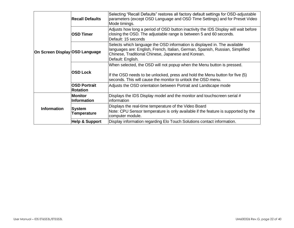|                                | <b>Recall Defaults</b>                 | Selecting "Recall Defaults" restores all factory default settings for OSD-adjustable<br>parameters (except OSD Language and OSD Time Settings) and for Preset Video<br>Mode timings.                                                  |
|--------------------------------|----------------------------------------|---------------------------------------------------------------------------------------------------------------------------------------------------------------------------------------------------------------------------------------|
| On Screen Display OSD Language | <b>OSD Timer</b>                       | Adjusts how long a period of OSD button inactivity the IDS Display will wait before<br>closing the OSD. The adjustable range is between 5 and 60 seconds.<br>Default: 15 seconds                                                      |
|                                |                                        | Selects which language the OSD information is displayed in. The available<br>languages are: English, French, Italian, German, Spanish, Russian, Simplified<br>Chinese, Traditional Chinese, Japanese and Korean.<br>Default: English. |
|                                | <b>OSD Lock</b>                        | When selected, the OSD will not popup when the Menu button is pressed.<br>If the OSD needs to be unlocked, press and hold the Menu button for five (5)<br>seconds. This will cause the monitor to unlock the OSD menu.                |
|                                | <b>OSD Portrait</b><br><b>Rotation</b> | Adjusts the OSD orientation between Portrait and Landscape mode                                                                                                                                                                       |
| <b>Information</b>             | <b>Monitor</b><br><b>Information</b>   | Displays the IDS Display model and the monitor and touchscreen serial #<br>information                                                                                                                                                |
|                                | <b>System</b><br><b>Temperature</b>    | Displays the real-time temperature of the Video Board<br>Note: CPU Sensor temperature is only available if the feature is supported by the<br>computer module.                                                                        |
|                                | <b>Help &amp; Support</b>              | Display information regarding Elo Touch Solutions contact information.                                                                                                                                                                |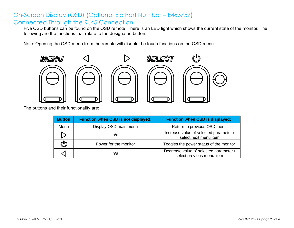## On-Screen Display (OSD) (Optional Elo Part Number – E483757) Connected Through the RJ45 Connection

Five OSD buttons can be found on the OSD remote. There is an LED light which shows the current state of the monitor. The following are the functions that relate to the designated button.

Note: Opening the OSD menu from the remote will disable the touch functions on the OSD menu.



The buttons and their functionality are:

| <b>Button</b> | <b>Function when OSD is not displayed:</b> | <b>Function when OSD is displayed:</b>                              |
|---------------|--------------------------------------------|---------------------------------------------------------------------|
| Menu          | Display OSD main menu                      | Return to previous OSD menu                                         |
|               | n/a                                        | Increase value of selected parameter /<br>select next menu item     |
|               | Power for the monitor                      | Toggles the power status of the monitor                             |
|               | n/a                                        | Decrease value of selected parameter /<br>select previous menu item |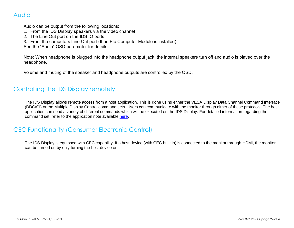## Audio

Audio can be output from the following locations:

- 1. From the IDS Display speakers via the video channel
- 2. The Line Out port on the IDS IO ports
- 3. From the computers Line Out port (If an Elo Computer Module is installed)

See the "Audio" OSD parameter for details.

Note: When headphone is plugged into the headphone output jack, the internal speakers turn off and audio is played over the headphone.

Volume and muting of the speaker and headphone outputs are controlled by the OSD.

## Controlling the IDS Display remotely

The IDS Display allows remote access from a host application. This is done using either the VESA Display Data Channel Command Interface (DDC/CI) or the Multiple Display Control command sets. Users can communicate with the monitor through either of these protocols. The host application can send a variety of different commands which will be executed on the IDS Display. For detailed information regarding the command set, refer to the application note available [here.](http://www.elotouch.com/Support/TechnicalSupport/pdfs/Elo_AppNotes_CommandSet.pdf)

## CEC Functionality (Consumer Electronic Control)

The IDS Display is equipped with CEC capability. If a host device (with CEC built in) is connected to the monitor through HDMI, the monitor can be turned on by only turning the host device on.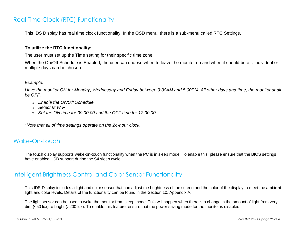## Real Time Clock (RTC) Functionality

This IDS Display has real time clock functionality. In the OSD menu, there is a sub-menu called RTC Settings.

#### **To utilize the RTC functionality:**

The user must set up the Time setting for their specific time zone.

When the On/Off Schedule is Enabled, the user can choose when to leave the monitor on and when it should be off. Individual or multiple days can be chosen.

#### *Example:*

*Have the monitor ON for Monday, Wednesday and Friday between 9:00AM and 5:00PM. All other days and time, the monitor shall be OFF.*

- o *Enable the On/Off Schedule*
- o *Select M W F*
- o *Set the ON time for 09:00:00 and the OFF time for 17:00:00*

*\*Note that all of time settings operate on the 24-hour clock.*

## Wake-On-Touch

The touch display supports wake-on-touch functionality when the PC is in sleep mode. To enable this, please ensure that the BIOS settings have enabled USB support during the S4 sleep cycle.

## Intelligent Brightness Control and Color Sensor Functionality

This IDS Display includes a light and color sensor that can adjust the brightness of the screen and the color of the display to meet the ambient light and color levels. Details of the functionality can be found in the Section 10, Appendix A.

The light sensor can be used to wake the monitor from sleep mode. This will happen when there is a change in the amount of light from very dim (<50 lux) to bright (>200 lux). To enable this feature, ensure that the power saving mode for the monitor is disabled.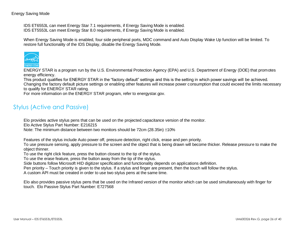#### Energy Saving Mode

IDS ET6553L can meet Energy Star 7.1 requirements, if Energy Saving Mode is enabled. IDS ET5553L can meet Energy Star 8.0 requirements, if Energy Saving Mode is enabled.

When Energy Saving Mode is enabled, four side peripheral ports, MDC command and Auto Display Wake Up function will be limited. To restore full functionality of the IDS Display, disable the Energy Saving Mode.



ENERGY STAR is a program run by the U.S. Environmental Protection Agency (EPA) and U.S. Department of Energy (DOE) that promotes energy efficiency.

This product qualifies for ENERGY STAR in the "factory default" settings and this is the setting in which power savings will be achieved. Changing the factory default picture settings or enabling other features will increase power consumption that could exceed the limits necessary to qualify for ENERGY STAR rating.

For more information on the ENERGY STAR program, refer to energystar.gov.

## Stylus (Active and Passive)

Elo provides active stylus pens that can be used on the projected capacitance version of the monitor.

Elo Active Stylus Part Number: E216215

Note: The minimum distance between two monitors should be 72cm (28.35in)  $\pm 10\%$ 

Features of the stylus include Auto power off, pressure detection, right click, erase and pen priority.

To use pressure sensing, apply pressure to the screen and the object that is being drawn will become thicker. Release pressure to make the object thinner.

To use the right click feature, press the button closest to the tip of the stylus.

To use the erase feature, press the button away from the tip of the stylus.

Side buttons follow Microsoft HID digitizer specification and functionality depends on applications definition.

Pen priority – Touch priority is given to the stylus. If a stylus and finger are present, then the touch will follow the stylus.

A custom API must be created in order to use two stylus pens at the same time.

Elo also provides passive stylus pens that be used on the Infrared version of the monitor which can be used simultaneously with finger for touch. Elo Passive Stylus Part Number: E727568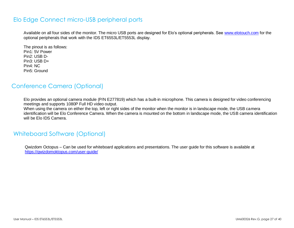## Elo Edge Connect micro-USB peripheral ports

Available on all four sides of the monitor. The micro USB ports are designed for Elo's optional peripherals. See [www.elotouch.com](http://www.elotouch.com/) for the optional peripherals that work with the IDS ET6553L/ET5553L display.

The pinout is as follows: Pin1: 5V Power Pin2: USB D-Pin3: USB D+ Pin4: NC Pin5: Ground

## Conference Camera (Optional)

Elo provides an optional camera module (P/N E277819) which has a built-in microphone. This camera is designed for video conferencing meetings and supports 1080P Full HD video output.

When using the camera on either the top, left or right sides of the monitor when the monitor is in landscape mode, the USB camera identification will be Elo Conference Camera. When the camera is mounted on the bottom in landscape mode, the USB camera identification will be Elo IDS Camera.

## Whiteboard Software (Optional)

Qwizdom Octopus – Can be used for whiteboard applications and presentations. The user guide for this software is available at <https://qwizdomoktopus.com/user-guide/>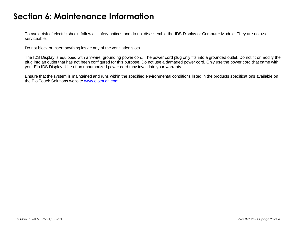# <span id="page-27-0"></span>**Section 6: Maintenance Information**

To avoid risk of electric shock, follow all safety notices and do not disassemble the IDS Display or Computer Module. They are not user serviceable.

Do not block or insert anything inside any of the ventilation slots.

The IDS Display is equipped with a 3-wire, grounding power cord. The power cord plug only fits into a grounded outlet. Do not fit or modify the plug into an outlet that has not been configured for this purpose. Do not use a damaged power cord. Only use the power cord that came with your Elo IDS Display. Use of an unauthorized power cord may invalidate your warranty.

Ensure that the system is maintained and runs within the specified environmental conditions listed in the products specifications available on the Elo Touch Solutions website [www.elotouch.com.](http://www.elotouch.com/)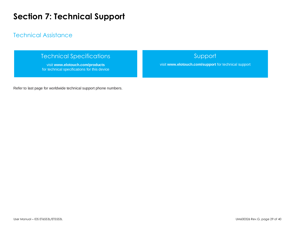# <span id="page-28-0"></span>**Section 7: Technical Support**

## Technical Assistance

## Technical Specifications

visit **[www.elotouch.com/products](http://www.elotouch.com/products)** for technical specifications for this device

## Support

visit **www.elotouch.com/support** for technical support

Refer to last page for worldwide technical support phone numbers.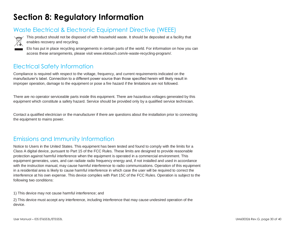# <span id="page-29-0"></span>**Section 8: Regulatory Information**

## Waste Electrical & Electronic Equipment Directive (WEEE)



This product should not be disposed of with household waste. It should be deposited at a facility that enables recovery and recycling.

Elo has put in place recycling arrangements in certain parts of the world. For information on how you can access these arrangements, please visit www.elotouch.com/e-waste-recycling-program/.

## Electrical Safety Information

Compliance is required with respect to the voltage, frequency, and current requirements indicated on the manufacturer's label. Connection to a different power source than those specified herein will likely result in improper operation, damage to the equipment or pose a fire hazard if the limitations are not followed.

There are no operator serviceable parts inside this equipment. There are hazardous voltages generated by this equipment which constitute a safety hazard. Service should be provided only by a qualified service technician.

Contact a qualified electrician or the manufacturer if there are questions about the installation prior to connecting the equipment to mains power.

## Emissions and Immunity Information

Notice to Users in the United States. This equipment has been tested and found to comply with the limits for a Class A digital device, pursuant to Part 15 of the FCC Rules. These limits are designed to provide reasonable protection against harmful interference when the equipment is operated in a commercial environment. This equipment generates, uses, and can radiate radio frequency energy and, if not installed and used in accordance with the instruction manual, may cause harmful interference to radio communications. Operation of this equipment in a residential area is likely to cause harmful interference in which case the user will be required to correct the interference at his own expense. This device complies with Part 15C of the FCC Rules. Operation is subject to the following two conditions:

1) This device may not cause harmful interference; and

2) This device must accept any interference, including interference that may cause undesired operation of the device.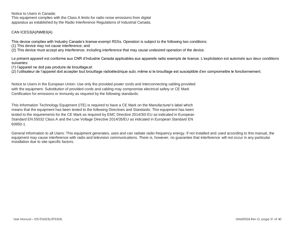Notice to Users in Canada:

This equipment complies with the Class A limits for radio noise emissions from digital apparatus as established by the Radio Interference Regulations of Industrial Canada.

#### CAN ICES3(A)/NMB3(A)

This device complies with Industry Canada's license-exempt RSSs. Operation is subject to the following two conditions:

(1) This device may not cause interference; and

(2) This device must accept any interference, including interference that may cause undesired operation of the device.

Le présent appareil est conforme aux CNR d'Industrie Canada applicables aux appareils radio exempts de licence. L'exploitation est autorisée aux deux conditions suivantes:

(1) l'appareil ne doit pas produire de brouillage;et

(2) l'utilisateur de l'appareil doit accepter tout brouillage radioélectrique subi, même si le brouillage est susceptible d'en compromettre le fonctionnement.

Notice to Users in the European Union: Use only the provided power cords and interconnecting cabling provided with the equipment. Substitution of provided cords and cabling may compromise electrical safety or CE Mark Certification for emissions or immunity as required by the following standards:

This Information Technology Equipment (ITE) is required to have a CE Mark on the Manufacturer's label which means that the equipment has been tested to the following Directives and Standards: This equipment has been tested to the requirements for the CE Mark as required by EMC Directive 2014/30/ EU as indicated in European Standard EN 55032 Class A and the Low Voltage Directive 2014/35/EU as indicated in European Standard EN 60950-1.

General Information to all Users: This equipment generates, uses and can radiate radio frequency energy. If not installed and used according to this manual, the equipment may cause interference with radio and television communications. There is, however, no guarantee that interference will not occur in any particular installation due to site-specific factors.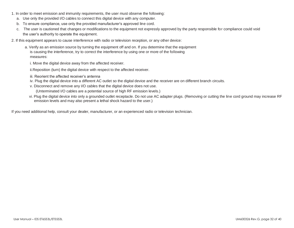- 1. In order to meet emission and immunity requirements, the user must observe the following:
	- a. Use only the provided I/O cables to connect this digital device with any computer.
	- b. To ensure compliance, use only the provided manufacturer's approved line cord.
	- c. The user is cautioned that changes or modifications to the equipment not expressly approved by the party responsible for compliance could void the user's authority to operate the equipment.
- 2. If this equipment appears to cause interference with radio or television reception, or any other device:
	- a. Verify as an emission source by turning the equipment off and on. If you determine that the equipment is causing the interference, try to correct the interference by using one or more of the following measures:
		- i. Move the digital device away from the affected receiver.
		- ii.Reposition (turn) the digital device with respect to the affected receiver.
		- iii. Reorient the affected receiver's antenna
		- iv. Plug the digital device into a different AC outlet so the digital device and the receiver are on different branch circuits.
		- v. Disconnect and remove any I/O cables that the digital device does not use. (Unterminated I/O cables are a potential source of high RF emission levels.)
		- vi. Plug the digital device into only a grounded outlet receptacle. Do not use AC adapter plugs. (Removing or cutting the line cord ground may increase RF emission levels and may also present a lethal shock hazard to the user.)

If you need additional help, consult your dealer, manufacturer, or an experienced radio or television technician.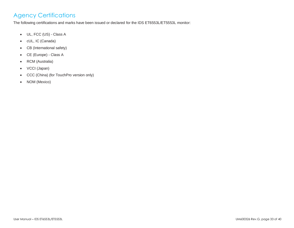## Agency Certifications

The following certifications and marks have been issued or declared for the IDS ET6553L/ET5553L monitor:

- UL, FCC (US) Class A
- cUL, IC (Canada)
- CB (International safety)
- CE (Europe) Class A
- RCM (Australia)
- VCCI (Japan)
- CCC (China) (for TouchPro version only)
- NOM (Mexico)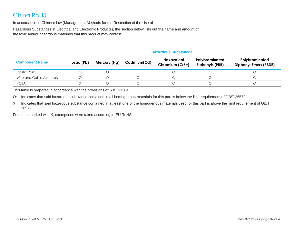## China RoHS

In accordance to Chinese law (Management Methods for the Restriction of the Use of

Hazardous Substances in Electrical and Electronic Products), the section below lists out the name and amount of the toxic and/or hazardous materials that this product may contain.

|                         | <b>Hazardous Substances</b> |              |             |                               |                                          |                                                 |
|-------------------------|-----------------------------|--------------|-------------|-------------------------------|------------------------------------------|-------------------------------------------------|
| <b>Component Name</b>   | Lead (Pb)                   | Mercury (Hg) | Cadmium(Cd) | Hexavalent<br>Chromium (Cr6+) | Polybrominated<br><b>Biphenyls (PBB)</b> | Polybrominated<br><b>Diphenyl Ethers (PBDE)</b> |
| <b>Plastic Parts</b>    |                             |              |             |                               |                                          |                                                 |
| Wire and Cable Assembly |                             |              |             |                               |                                          |                                                 |
| <b>PCBA</b>             |                             |              |             |                               |                                          |                                                 |

This table is prepared in accordance with the provisions of SJ/T 11364

O: Indicates that said hazardous substance contained in all homogenous materials for this part is below the limit requirement of GB/T 26572.

X: Indicates that said hazardous substance contained in at least one of the homogenous materials used for this part is above the limit requirement of GB/T 26572.

For items marked with X, exemptions were taken according to EU RoHS.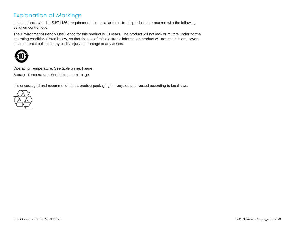## Explanation of Markings

In accordance with the SJ/T11364 requirement, electrical and electronic products are marked with the following pollution control logo.

The Environment-Friendly Use Period for this product is 10 years. The product will not leak or mutate under normal operating conditions listed below, so that the use of this electronic information product will not result in any severe environmental pollution, any bodily injury, or damage to any assets.



Operating Temperature: See table on next page.

Storage Temperature: See table on next page.

It is encouraged and recommended that product packaging be recycled and reused according to local laws.

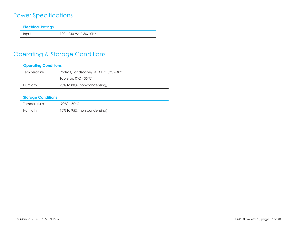## Power Specifications

#### **Electrical Ratings**

Input 100 - 240 VAC 50/60Hz

## Operating & Storage Conditions

#### **Operating Conditions**

| Temperature | Portrait/Landscape/Tilt $(\leq 15^{\circ})$ 0°C - 40°C |
|-------------|--------------------------------------------------------|
|             | Tabletop $0^{\circ}$ C - 35 $^{\circ}$ C               |
| Humidity    | 20% to 80% (non-condensing)                            |

#### **Storage Conditions**

| Temperature | -20°C - 50°C                |
|-------------|-----------------------------|
| Humidity    | 10% to 95% (non-condensing) |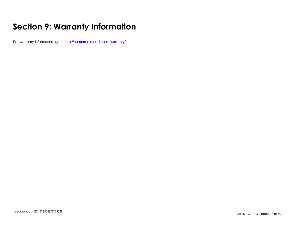# <span id="page-36-0"></span>**Section 9: Warranty Information**

For warranty information, go to<http://support.elotouch.com/warranty/>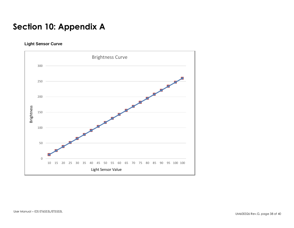# <span id="page-37-0"></span>**Section 10: Appendix A**

**Light Sensor Curve**

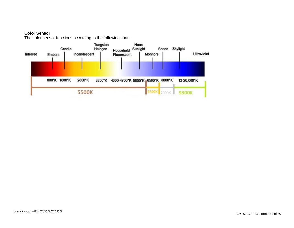#### **Color Sensor**

The color sensor functions according to the following chart: